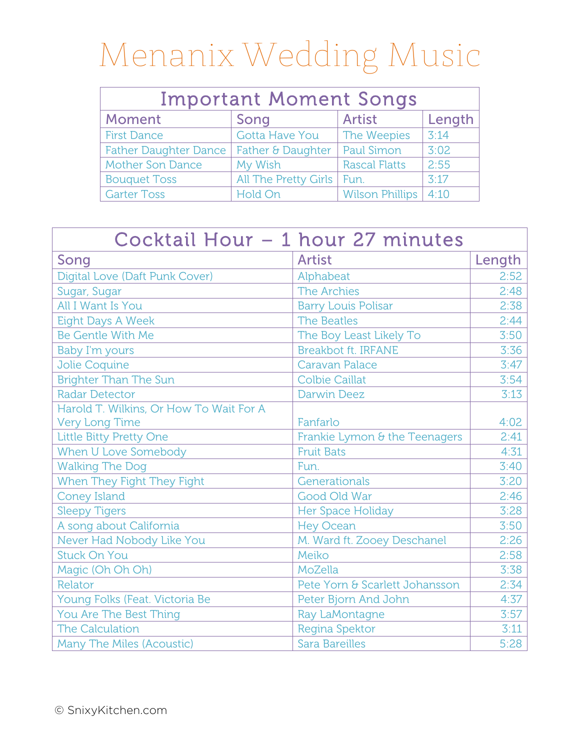| <b>Important Moment Songs</b>             |                       |                        |        |  |  |
|-------------------------------------------|-----------------------|------------------------|--------|--|--|
| Moment                                    | Song                  | <b>Artist</b>          | Length |  |  |
| <b>First Dance</b>                        | <b>Gotta Have You</b> | The Weepies            | 3:14   |  |  |
| Father Daughter Dance   Father & Daughter |                       | <b>Paul Simon</b>      | 3:02   |  |  |
| <b>Mother Son Dance</b>                   | My Wish               | <b>Rascal Flatts</b>   | 2:55   |  |  |
| <b>Bouquet Toss</b>                       | All The Pretty Girls  | $ $ Fun.               | 3:17   |  |  |
| <b>Garter Toss</b>                        | Hold On               | <b>Wilson Phillips</b> | 4:10   |  |  |

| Cocktail Hour - 1 hour 27 minutes       |                                |        |  |
|-----------------------------------------|--------------------------------|--------|--|
| Song                                    | <b>Artist</b>                  | Length |  |
| Digital Love (Daft Punk Cover)          | Alphabeat                      | 2:52   |  |
| Sugar, Sugar                            | The Archies                    | 2:48   |  |
| All I Want Is You                       | <b>Barry Louis Polisar</b>     | 2:38   |  |
| <b>Eight Days A Week</b>                | <b>The Beatles</b>             | 2:44   |  |
| <b>Be Gentle With Me</b>                | The Boy Least Likely To        | 3:50   |  |
| <b>Baby I'm yours</b>                   | <b>Breakbot ft. IRFANE</b>     | 3:36   |  |
| Jolie Coquine                           | <b>Caravan Palace</b>          | 3:47   |  |
| <b>Brighter Than The Sun</b>            | <b>Colbie Caillat</b>          | 3:54   |  |
| <b>Radar Detector</b>                   | <b>Darwin Deez</b>             | 3:13   |  |
| Harold T. Wilkins, Or How To Wait For A |                                |        |  |
| Very Long Time                          | Fanfarlo                       | 4:02   |  |
| Little Bitty Pretty One                 | Frankie Lymon & the Teenagers  | 2:41   |  |
| When U Love Somebody                    | <b>Fruit Bats</b>              | 4:31   |  |
| <b>Walking The Dog</b>                  | Fun.                           | 3:40   |  |
| When They Fight They Fight              | Generationals                  | 3:20   |  |
| <b>Coney Island</b>                     | Good Old War                   | 2:46   |  |
| <b>Sleepy Tigers</b>                    | Her Space Holiday              | 3:28   |  |
| A song about California                 | <b>Hey Ocean</b>               | 3:50   |  |
| Never Had Nobody Like You               | M. Ward ft. Zooey Deschanel    | 2:26   |  |
| <b>Stuck On You</b>                     | Meiko                          | 2:58   |  |
| Magic (Oh Oh Oh)                        | MoZella                        | 3:38   |  |
| Relator                                 | Pete Yorn & Scarlett Johansson | 2:34   |  |
| Young Folks (Feat. Victoria Be          | Peter Bjorn And John           | 4:37   |  |
| You Are The Best Thing                  | Ray LaMontagne                 | 3:57   |  |
| <b>The Calculation</b>                  | Regina Spektor                 | 3:11   |  |
| Many The Miles (Acoustic)               | <b>Sara Bareilles</b>          | 5:28   |  |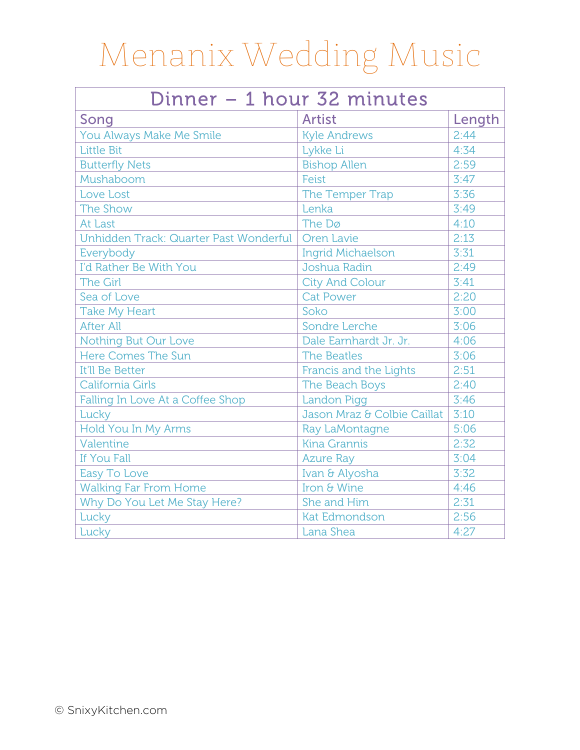| Dinner - 1 hour 32 minutes             |                             |        |  |  |
|----------------------------------------|-----------------------------|--------|--|--|
| Song                                   | <b>Artist</b>               | Length |  |  |
| You Always Make Me Smile               | <b>Kyle Andrews</b>         | 2:44   |  |  |
| <b>Little Bit</b>                      | Lykke Li                    | 4:34   |  |  |
| <b>Butterfly Nets</b>                  | <b>Bishop Allen</b>         | 2:59   |  |  |
| Mushaboom                              | Feist                       | 3:47   |  |  |
| Love Lost                              | The Temper Trap             | 3:36   |  |  |
| The Show                               | Lenka                       | 3:49   |  |  |
| At Last                                | The Dø                      | 4:10   |  |  |
| Unhidden Track: Quarter Past Wonderful | Oren Lavie                  | 2:13   |  |  |
| Everybody                              | <b>Ingrid Michaelson</b>    | 3:31   |  |  |
| I'd Rather Be With You                 | Joshua Radin                | 2:49   |  |  |
| <b>The Girl</b>                        | <b>City And Colour</b>      | 3:41   |  |  |
| Sea of Love                            | <b>Cat Power</b>            | 2:20   |  |  |
| <b>Take My Heart</b>                   | Soko                        | 3:00   |  |  |
| <b>After All</b>                       | Sondre Lerche               | 3:06   |  |  |
| <b>Nothing But Our Love</b>            | Dale Earnhardt Jr. Jr.      | 4:06   |  |  |
| Here Comes The Sun                     | <b>The Beatles</b>          | 3:06   |  |  |
| It'll Be Better                        | Francis and the Lights      | 2:51   |  |  |
| California Girls                       | The Beach Boys              | 2:40   |  |  |
| Falling In Love At a Coffee Shop       | <b>Landon Pigg</b>          | 3:46   |  |  |
| Lucky                                  | Jason Mraz & Colbie Caillat | 3:10   |  |  |
| Hold You In My Arms                    | Ray LaMontagne              | 5:06   |  |  |
| Valentine                              | <b>Kina Grannis</b>         | 2:32   |  |  |
| If You Fall                            | <b>Azure Ray</b>            | 3:04   |  |  |
| Easy To Love                           | Ivan & Alyosha              | 3:32   |  |  |
| <b>Walking Far From Home</b>           | Iron & Wine                 | 4:46   |  |  |
| Why Do You Let Me Stay Here?           | She and Him                 | 2:31   |  |  |
| Lucky                                  | <b>Kat Edmondson</b>        | 2:56   |  |  |
| Lucky                                  | Lana Shea                   | 4:27   |  |  |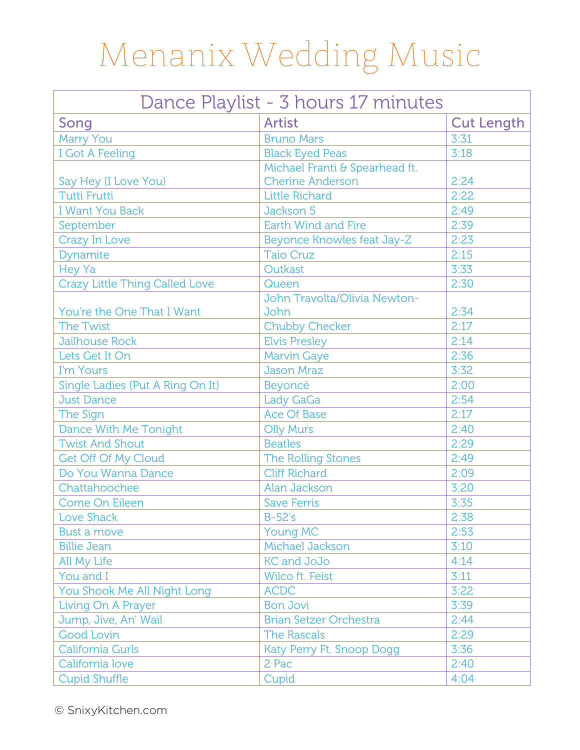| Dance Playlist - 3 hours 17 minutes   |                                      |                   |  |
|---------------------------------------|--------------------------------------|-------------------|--|
| Song                                  | <b>Artist</b>                        | <b>Cut Length</b> |  |
| Marry You                             | <b>Bruno Mars</b>                    | 3:31              |  |
| I Got A Feeling                       | <b>Black Eyed Peas</b>               | 3:18              |  |
|                                       | Michael Franti & Spearhead ft.       |                   |  |
| Say Hey (I Love You)                  | <b>Cherine Anderson</b>              | 2:24              |  |
| <b>Tutti Frutti</b>                   | <b>Little Richard</b>                | 2:22              |  |
| <b>I Want You Back</b>                | Jackson 5                            | 2:49              |  |
| September                             | Earth Wind and Fire                  | 2:39              |  |
| Crazy In Love                         | Beyonce Knowles feat Jay-Z           | 2:23              |  |
| Dynamite                              | <b>Taio Cruz</b>                     | 2:15              |  |
| Hey Ya                                | Outkast                              | 3:33              |  |
| <b>Crazy Little Thing Called Love</b> | Queen                                | 2:30              |  |
| You're the One That I Want            | John Travolta/Olivia Newton-<br>John | 2:34              |  |
| <b>The Twist</b>                      | <b>Chubby Checker</b>                | 2:17              |  |
| <b>Jailhouse Rock</b>                 | <b>Elvis Presley</b>                 | 2:14              |  |
| Lets Get It On                        | <b>Marvin Gaye</b>                   | 2:36              |  |
| I'm Yours                             | <b>Jason Mraz</b>                    | 3:32              |  |
| Single Ladies (Put A Ring On It)      | Beyoncé                              | 2:00              |  |
| <b>Just Dance</b>                     | Lady GaGa                            | 2:54              |  |
| The Sign                              | <b>Ace Of Base</b>                   | 2:17              |  |
| Dance With Me Tonight                 | <b>Olly Murs</b>                     | 2:40              |  |
| <b>Twist And Shout</b>                | <b>Beatles</b>                       | 2:29              |  |
| Get Off Of My Cloud                   | The Rolling Stones                   | 2:49              |  |
| Do You Wanna Dance                    | <b>Cliff Richard</b>                 | 2:09              |  |
| Chattahoochee                         | Alan Jackson                         | 3:20              |  |
| Come On Eileen                        | <b>Save Ferris</b>                   | 3:35              |  |
| Love Shack                            | $B-52's$                             | 2:38              |  |
| <b>Bust a move</b>                    | <b>Young MC</b>                      | 2:53              |  |
| <b>Billie Jean</b>                    | Michael Jackson                      | 3:10              |  |
| All My Life                           | <b>KC and JoJo</b>                   | 4:14              |  |
| You and I                             | <b>Wilco ft. Feist</b>               | 3:11              |  |
| You Shook Me All Night Long           | <b>ACDC</b>                          | 3:22              |  |
| Living On A Prayer                    | <b>Bon Jovi</b>                      | 3:39              |  |
| Jump, Jive, An' Wail                  | <b>Brian Setzer Orchestra</b>        | 2:44              |  |
| Good Lovin                            | <b>The Rascals</b>                   | 2:29              |  |
| California Gurls                      | Katy Perry Ft. Snoop Dogg            | 3:36              |  |
| California love                       | 2 Pac                                | 2:40              |  |
| <b>Cupid Shuffle</b>                  | Cupid                                | 4:04              |  |